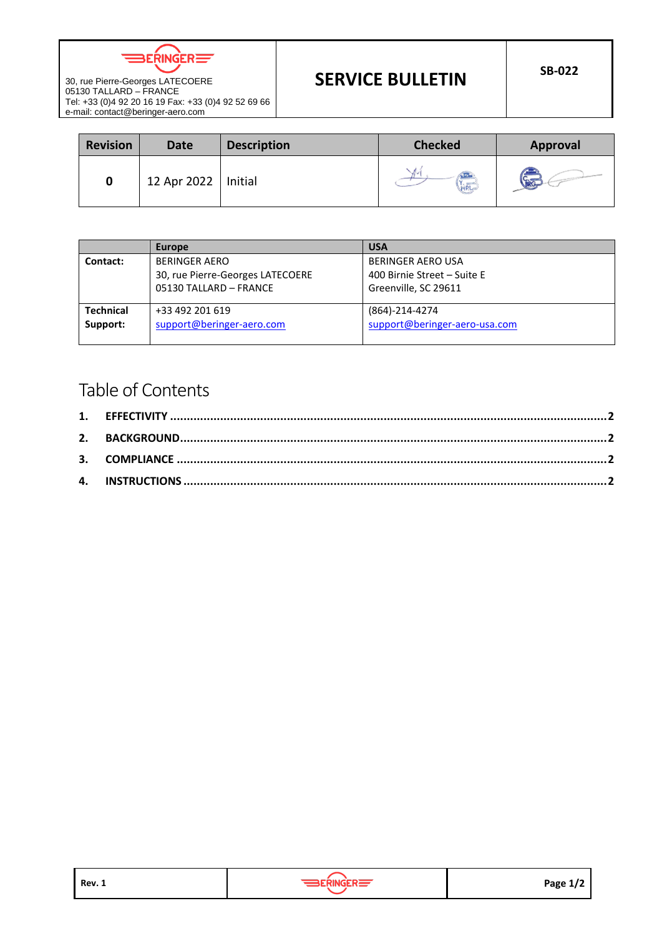$BERINGER$ 

# **SERVICE BULLETIN** SB-022

30, rue Pierre-Georges LATECOERE 05130 TALLARD – FRANCE Tel: +33 (0)4 92 20 16 19 Fax: +33 (0)4 92 52 69 66 e-mail: contact@beringer-aero.com

| <b>Revision</b> | Date        | <b>Description</b> | <b>Checked</b>          | <b>Approval</b> |
|-----------------|-------------|--------------------|-------------------------|-----------------|
| 0               | 12 Apr 2022 | Initial            | $4.0 -$<br><b>VIEL-</b> |                 |

|                  | Europe                           | <b>USA</b>                    |
|------------------|----------------------------------|-------------------------------|
| Contact:         | <b>BERINGER AERO</b>             | <b>BERINGER AERO USA</b>      |
|                  | 30, rue Pierre-Georges LATECOERE | 400 Birnie Street - Suite E   |
|                  | 05130 TALLARD - FRANCE           | Greenville, SC 29611          |
| <b>Technical</b> | +33 492 201 619                  | (864)-214-4274                |
| Support:         | support@beringer-aero.com        | support@beringer-aero-usa.com |
|                  |                                  |                               |

# Table of Contents